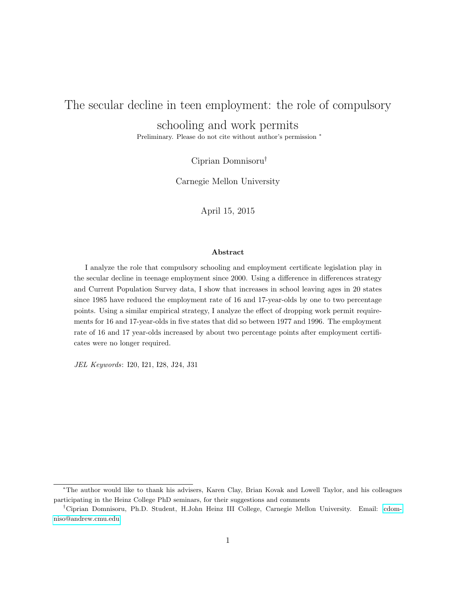# <span id="page-0-0"></span>The secular decline in teen employment: the role of compulsory schooling and work permits

Preliminary. Please do not cite without author's permission <sup>∗</sup>

Ciprian Domnisoru†

Carnegie Mellon University

April 15, 2015

#### Abstract

I analyze the role that compulsory schooling and employment certificate legislation play in the secular decline in teenage employment since 2000. Using a difference in differences strategy and Current Population Survey data, I show that increases in school leaving ages in 20 states since 1985 have reduced the employment rate of 16 and 17-year-olds by one to two percentage points. Using a similar empirical strategy, I analyze the effect of dropping work permit requirements for 16 and 17-year-olds in five states that did so between 1977 and 1996. The employment rate of 16 and 17 year-olds increased by about two percentage points after employment certificates were no longer required.

JEL Keywords: I20, I21, I28, J24, J31

<sup>∗</sup>The author would like to thank his advisers, Karen Clay, Brian Kovak and Lowell Taylor, and his colleagues participating in the Heinz College PhD seminars, for their suggestions and comments

<sup>†</sup>Ciprian Domnisoru, Ph.D. Student, H.John Heinz III College, Carnegie Mellon University. Email: [cdom](mailto:cdomniso@andrew.cmu.edu)[niso@andrew.cmu.edu](mailto:cdomniso@andrew.cmu.edu)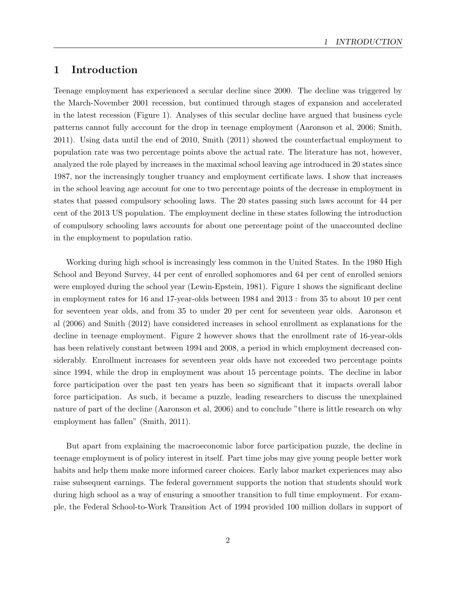## 1 Introduction

Teenage employment has experienced a secular decline since 2000. The decline was triggered by the March-November 2001 recession, but continued through stages of expansion and accelerated in the latest recession (Figure 1). Analyses of this secular decline have argued that business cycle patterns cannot fully acccount for the drop in teenage employment (Aaronson et al, 2006; Smith, 2011). Using data until the end of 2010, Smith (2011) showed the counterfactual employment to population rate was two percentage points above the actual rate. The literature has not, however, analyzed the role played by increases in the maximal school leaving age introduced in 20 states since 1987, nor the increasingly tougher truancy and employment certificate laws. I show that increases in the school leaving age account for one to two percentage points of the decrease in employment in states that passed compulsory schooling laws. The 20 states passing such laws account for 44 per cent of the 2013 US population. The employment decline in these states following the introduction of compulsory schooling laws accounts for about one percentage point of the unaccounted decline in the employment to population ratio.

Working during high school is increasingly less common in the United States. In the 1980 High School and Beyond Survey, 44 per cent of enrolled sophomores and 64 per cent of enrolled seniors were employed during the school year (Lewin-Epstein, 1981). Figure 1 shows the significant decline in employment rates for 16 and 17-year-olds between 1984 and 2013 : from 35 to about 10 per cent for seventeen year olds, and from 35 to under 20 per cent for seventeen year olds. Aaronson et al (2006) and Smith (2012) have considered increases in school enrollment as explanations for the decline in teenage employment. Figure 2 however shows that the enrollment rate of 16-year-olds has been relatively constant between 1994 and 2008, a period in which employment decreased considerably. Enrollment increases for seventeen year olds have not exceeded two percentage points since 1994, while the drop in employment was about 15 percentage points. The decline in labor force participation over the past ten years has been so significant that it impacts overall labor force participation. As such, it became a puzzle, leading researchers to discuss the unexplained nature of part of the decline (Aaronson et al, 2006) and to conclude "there is little research on why employment has fallen" (Smith, 2011).

But apart from explaining the macroeconomic labor force participation puzzle, the decline in teenage employment is of policy interest in itself. Part time jobs may give young people better work habits and help them make more informed career choices. Early labor market experiences may also raise subsequent earnings. The federal government supports the notion that students should work during high school as a way of ensuring a smoother transition to full time employment. For example, the Federal School-to-Work Transition Act of 1994 provided 100 million dollars in support of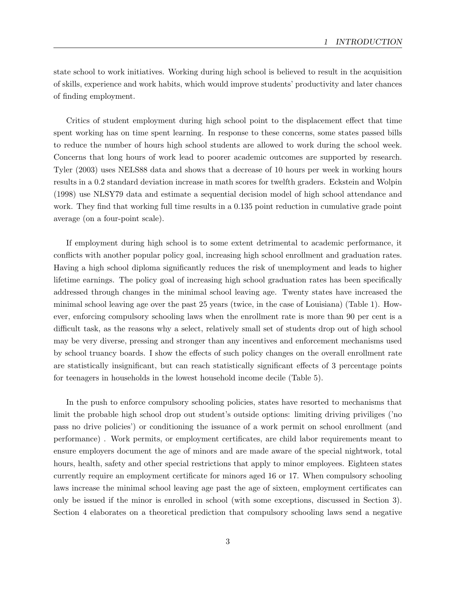state school to work initiatives. Working during high school is believed to result in the acquisition of skills, experience and work habits, which would improve students' productivity and later chances of finding employment.

Critics of student employment during high school point to the displacement effect that time spent working has on time spent learning. In response to these concerns, some states passed bills to reduce the number of hours high school students are allowed to work during the school week. Concerns that long hours of work lead to poorer academic outcomes are supported by research. Tyler (2003) uses NELS88 data and shows that a decrease of 10 hours per week in working hours results in a 0.2 standard deviation increase in math scores for twelfth graders. Eckstein and Wolpin (1998) use NLSY79 data and estimate a sequential decision model of high school attendance and work. They find that working full time results in a 0.135 point reduction in cumulative grade point average (on a four-point scale).

If employment during high school is to some extent detrimental to academic performance, it conflicts with another popular policy goal, increasing high school enrollment and graduation rates. Having a high school diploma significantly reduces the risk of unemployment and leads to higher lifetime earnings. The policy goal of increasing high school graduation rates has been specifically addressed through changes in the minimal school leaving age. Twenty states have increased the minimal school leaving age over the past 25 years (twice, in the case of Louisiana) (Table 1). However, enforcing compulsory schooling laws when the enrollment rate is more than 90 per cent is a difficult task, as the reasons why a select, relatively small set of students drop out of high school may be very diverse, pressing and stronger than any incentives and enforcement mechanisms used by school truancy boards. I show the effects of such policy changes on the overall enrollment rate are statistically insignificant, but can reach statistically significant effects of 3 percentage points for teenagers in households in the lowest household income decile (Table 5).

In the push to enforce compulsory schooling policies, states have resorted to mechanisms that limit the probable high school drop out student's outside options: limiting driving priviliges ('no pass no drive policies') or conditioning the issuance of a work permit on school enrollment (and performance) . Work permits, or employment certificates, are child labor requirements meant to ensure employers document the age of minors and are made aware of the special nightwork, total hours, health, safety and other special restrictions that apply to minor employees. Eighteen states currently require an employment certificate for minors aged 16 or 17. When compulsory schooling laws increase the minimal school leaving age past the age of sixteen, employment certificates can only be issued if the minor is enrolled in school (with some exceptions, discussed in Section 3). Section 4 elaborates on a theoretical prediction that compulsory schooling laws send a negative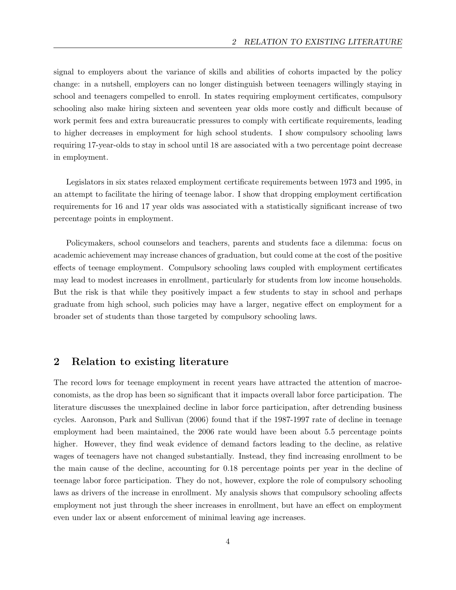signal to employers about the variance of skills and abilities of cohorts impacted by the policy change: in a nutshell, employers can no longer distinguish between teenagers willingly staying in school and teenagers compelled to enroll. In states requiring employment certificates, compulsory schooling also make hiring sixteen and seventeen year olds more costly and difficult because of work permit fees and extra bureaucratic pressures to comply with certificate requirements, leading to higher decreases in employment for high school students. I show compulsory schooling laws requiring 17-year-olds to stay in school until 18 are associated with a two percentage point decrease in employment.

Legislators in six states relaxed employment certificate requirements between 1973 and 1995, in an attempt to facilitate the hiring of teenage labor. I show that dropping employment certification requirements for 16 and 17 year olds was associated with a statistically significant increase of two percentage points in employment.

Policymakers, school counselors and teachers, parents and students face a dilemma: focus on academic achievement may increase chances of graduation, but could come at the cost of the positive effects of teenage employment. Compulsory schooling laws coupled with employment certificates may lead to modest increases in enrollment, particularly for students from low income households. But the risk is that while they positively impact a few students to stay in school and perhaps graduate from high school, such policies may have a larger, negative effect on employment for a broader set of students than those targeted by compulsory schooling laws.

## 2 Relation to existing literature

The record lows for teenage employment in recent years have attracted the attention of macroeconomists, as the drop has been so significant that it impacts overall labor force participation. The literature discusses the unexplained decline in labor force participation, after detrending business cycles. Aaronson, Park and Sullivan (2006) found that if the 1987-1997 rate of decline in teenage employment had been maintained, the 2006 rate would have been about 5.5 percentage points higher. However, they find weak evidence of demand factors leading to the decline, as relative wages of teenagers have not changed substantially. Instead, they find increasing enrollment to be the main cause of the decline, accounting for 0.18 percentage points per year in the decline of teenage labor force participation. They do not, however, explore the role of compulsory schooling laws as drivers of the increase in enrollment. My analysis shows that compulsory schooling affects employment not just through the sheer increases in enrollment, but have an effect on employment even under lax or absent enforcement of minimal leaving age increases.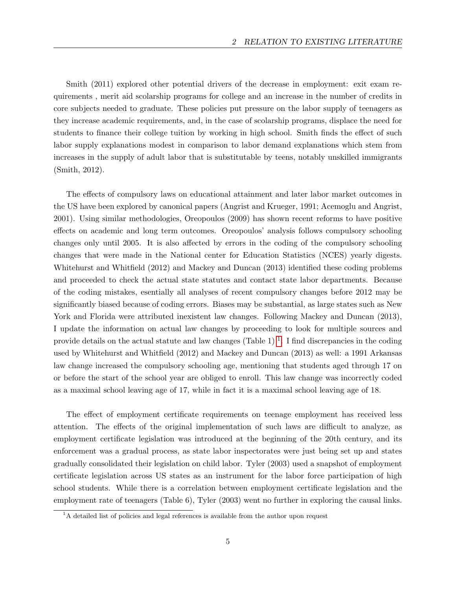Smith (2011) explored other potential drivers of the decrease in employment: exit exam requirements , merit aid scolarship programs for college and an increase in the number of credits in core subjects needed to graduate. These policies put pressure on the labor supply of teenagers as they increase academic requirements, and, in the case of scolarship programs, displace the need for students to finance their college tuition by working in high school. Smith finds the effect of such labor supply explanations modest in comparison to labor demand explanations which stem from increases in the supply of adult labor that is substitutable by teens, notably unskilled immigrants (Smith, 2012).

The effects of compulsory laws on educational attainment and later labor market outcomes in the US have been explored by canonical papers (Angrist and Krueger, 1991; Acemoglu and Angrist, 2001). Using similar methodologies, Oreopoulos (2009) has shown recent reforms to have positive effects on academic and long term outcomes. Oreopoulos' analysis follows compulsory schooling changes only until 2005. It is also affected by errors in the coding of the compulsory schooling changes that were made in the National center for Education Statistics (NCES) yearly digests. Whitehurst and Whitfield (2012) and Mackey and Duncan (2013) identified these coding problems and proceeded to check the actual state statutes and contact state labor departments. Because of the coding mistakes, esentially all analyses of recent compulsory changes before 2012 may be significantly biased because of coding errors. Biases may be substantial, as large states such as New York and Florida were attributed inexistent law changes. Following Mackey and Duncan (2013), I update the information on actual law changes by proceeding to look for multiple sources and provide details on the actual statute and law changes (Table [1](#page-0-0))<sup>1</sup>. I find discrepancies in the coding used by Whitehurst and Whitfield (2012) and Mackey and Duncan (2013) as well: a 1991 Arkansas law change increased the compulsory schooling age, mentioning that students aged through 17 on or before the start of the school year are obliged to enroll. This law change was incorrectly coded as a maximal school leaving age of 17, while in fact it is a maximal school leaving age of 18.

The effect of employment certificate requirements on teenage employment has received less attention. The effects of the original implementation of such laws are difficult to analyze, as employment certificate legislation was introduced at the beginning of the 20th century, and its enforcement was a gradual process, as state labor inspectorates were just being set up and states gradually consolidated their legislation on child labor. Tyler (2003) used a snapshot of employment certificate legislation across US states as an instrument for the labor force participation of high school students. While there is a correlation between employment certificate legislation and the employment rate of teenagers (Table 6), Tyler (2003) went no further in exploring the causal links.

 ${}^{1}$ A detailed list of policies and legal references is available from the author upon request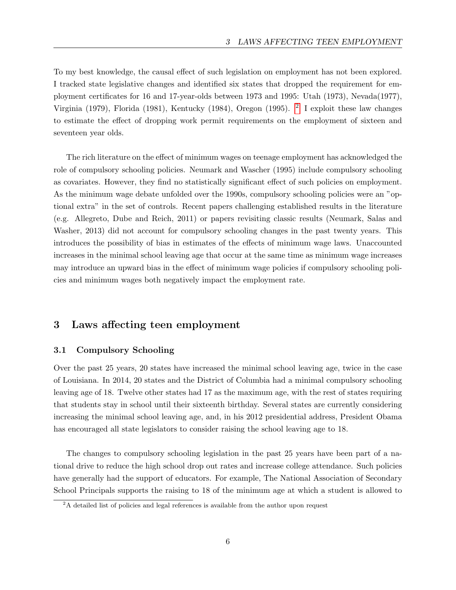To my best knowledge, the causal effect of such legislation on employment has not been explored. I tracked state legislative changes and identified six states that dropped the requirement for employment certificates for 16 and 17-year-olds between 1973 and 1995: Utah (1973), Nevada(1977), Virginia (1979), Florida (1981), Kentucky (1984), Oregon (1995). <sup>[2](#page-0-0)</sup> I exploit these law changes to estimate the effect of dropping work permit requirements on the employment of sixteen and seventeen year olds.

The rich literature on the effect of minimum wages on teenage employment has acknowledged the role of compulsory schooling policies. Neumark and Wascher (1995) include compulsory schooling as covariates. However, they find no statistically significant effect of such policies on employment. As the minimum wage debate unfolded over the 1990s, compulsory schooling policies were an "optional extra" in the set of controls. Recent papers challenging established results in the literature (e.g. Allegreto, Dube and Reich, 2011) or papers revisiting classic results (Neumark, Salas and Washer, 2013) did not account for compulsory schooling changes in the past twenty years. This introduces the possibility of bias in estimates of the effects of minimum wage laws. Unaccounted increases in the minimal school leaving age that occur at the same time as minimum wage increases may introduce an upward bias in the effect of minimum wage policies if compulsory schooling policies and minimum wages both negatively impact the employment rate.

## 3 Laws affecting teen employment

#### 3.1 Compulsory Schooling

Over the past 25 years, 20 states have increased the minimal school leaving age, twice in the case of Louisiana. In 2014, 20 states and the District of Columbia had a minimal compulsory schooling leaving age of 18. Twelve other states had 17 as the maximum age, with the rest of states requiring that students stay in school until their sixteenth birthday. Several states are currently considering increasing the minimal school leaving age, and, in his 2012 presidential address, President Obama has encouraged all state legislators to consider raising the school leaving age to 18.

The changes to compulsory schooling legislation in the past 25 years have been part of a national drive to reduce the high school drop out rates and increase college attendance. Such policies have generally had the support of educators. For example, The National Association of Secondary School Principals supports the raising to 18 of the minimum age at which a student is allowed to

<sup>&</sup>lt;sup>2</sup>A detailed list of policies and legal references is available from the author upon request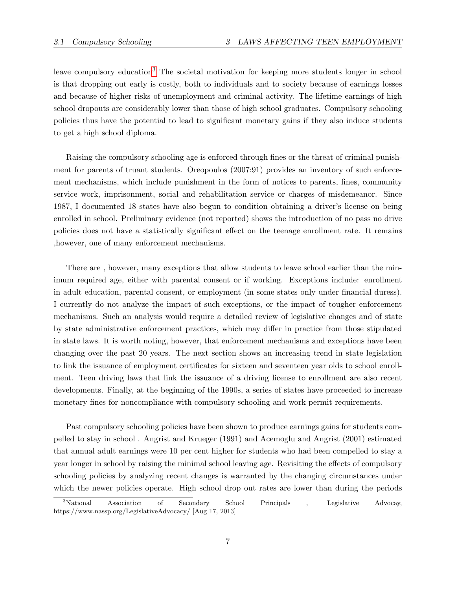leave compulsory education<sup>[3](#page-0-0)</sup> The societal motivation for keeping more students longer in school is that dropping out early is costly, both to individuals and to society because of earnings losses and because of higher risks of unemployment and criminal activity. The lifetime earnings of high school dropouts are considerably lower than those of high school graduates. Compulsory schooling policies thus have the potential to lead to significant monetary gains if they also induce students to get a high school diploma.

Raising the compulsory schooling age is enforced through fines or the threat of criminal punishment for parents of truant students. Oreopoulos (2007:91) provides an inventory of such enforcement mechanisms, which include punishment in the form of notices to parents, fines, community service work, imprisonment, social and rehabilitation service or charges of misdemeanor. Since 1987, I documented 18 states have also begun to condition obtaining a driver's license on being enrolled in school. Preliminary evidence (not reported) shows the introduction of no pass no drive policies does not have a statistically significant effect on the teenage enrollment rate. It remains ,however, one of many enforcement mechanisms.

There are , however, many exceptions that allow students to leave school earlier than the minimum required age, either with parental consent or if working. Exceptions include: enrollment in adult education, parental consent, or employment (in some states only under financial duress). I currently do not analyze the impact of such exceptions, or the impact of tougher enforcement mechanisms. Such an analysis would require a detailed review of legislative changes and of state by state administrative enforcement practices, which may differ in practice from those stipulated in state laws. It is worth noting, however, that enforcement mechanisms and exceptions have been changing over the past 20 years. The next section shows an increasing trend in state legislation to link the issuance of employment certificates for sixteen and seventeen year olds to school enrollment. Teen driving laws that link the issuance of a driving license to enrollment are also recent developments. Finally, at the beginning of the 1990s, a series of states have proceeded to increase monetary fines for noncompliance with compulsory schooling and work permit requirements.

Past compulsory schooling policies have been shown to produce earnings gains for students compelled to stay in school . Angrist and Krueger (1991) and Acemoglu and Angrist (2001) estimated that annual adult earnings were 10 per cent higher for students who had been compelled to stay a year longer in school by raising the minimal school leaving age. Revisiting the effects of compulsory schooling policies by analyzing recent changes is warranted by the changing circumstances under which the newer policies operate. High school drop out rates are lower than during the periods

<sup>&</sup>lt;sup>3</sup>National Association of Secondary School Principals , Legislative Advocay, https://www.nassp.org/LegislativeAdvocacy/ [Aug 17, 2013]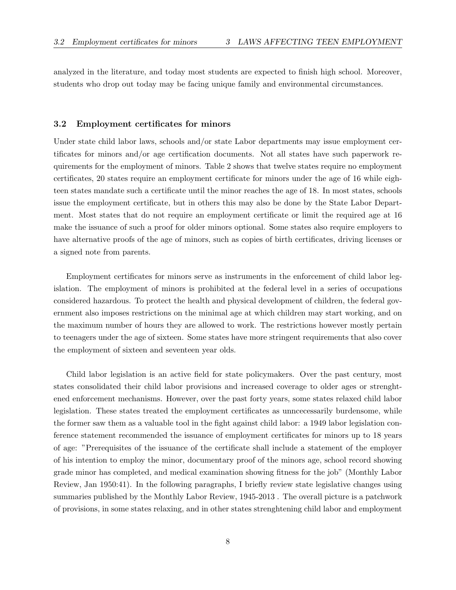analyzed in the literature, and today most students are expected to finish high school. Moreover, students who drop out today may be facing unique family and environmental circumstances.

#### 3.2 Employment certificates for minors

Under state child labor laws, schools and/or state Labor departments may issue employment certificates for minors and/or age certification documents. Not all states have such paperwork requirements for the employment of minors. Table 2 shows that twelve states require no employment certificates, 20 states require an employment certificate for minors under the age of 16 while eighteen states mandate such a certificate until the minor reaches the age of 18. In most states, schools issue the employment certificate, but in others this may also be done by the State Labor Department. Most states that do not require an employment certificate or limit the required age at 16 make the issuance of such a proof for older minors optional. Some states also require employers to have alternative proofs of the age of minors, such as copies of birth certificates, driving licenses or a signed note from parents.

Employment certificates for minors serve as instruments in the enforcement of child labor legislation. The employment of minors is prohibited at the federal level in a series of occupations considered hazardous. To protect the health and physical development of children, the federal government also imposes restrictions on the minimal age at which children may start working, and on the maximum number of hours they are allowed to work. The restrictions however mostly pertain to teenagers under the age of sixteen. Some states have more stringent requirements that also cover the employment of sixteen and seventeen year olds.

Child labor legislation is an active field for state policymakers. Over the past century, most states consolidated their child labor provisions and increased coverage to older ages or strenghtened enforcement mechanisms. However, over the past forty years, some states relaxed child labor legislation. These states treated the employment certificates as unncecessarily burdensome, while the former saw them as a valuable tool in the fight against child labor: a 1949 labor legislation conference statement recommended the issuance of employment certificates for minors up to 18 years of age: "Prerequisites of the issuance of the certificate shall include a statement of the employer of his intention to employ the minor, documentary proof of the minors age, school record showing grade minor has completed, and medical examination showing fitness for the job" (Monthly Labor Review, Jan 1950:41). In the following paragraphs, I briefly review state legislative changes using summaries published by the Monthly Labor Review, 1945-2013 . The overall picture is a patchwork of provisions, in some states relaxing, and in other states strenghtening child labor and employment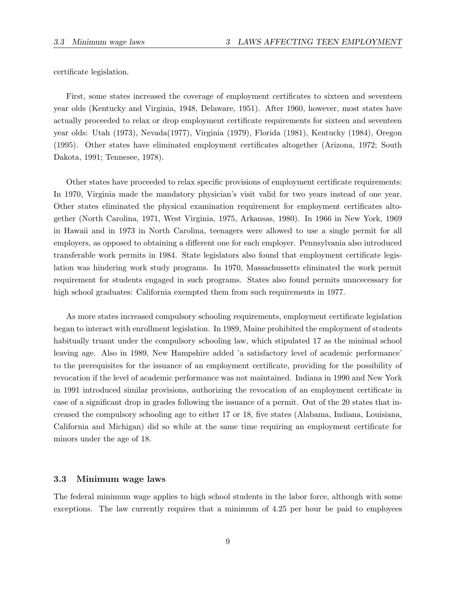certificate legislation.

First, some states increased the coverage of employment certificates to sixteen and seventeen year olds (Kentucky and Virginia, 1948, Delaware, 1951). After 1960, however, most states have actually proceeded to relax or drop employment certificate requirements for sixteen and seventeen year olds: Utah (1973), Nevada(1977), Virginia (1979), Florida (1981), Kentucky (1984), Oregon (1995). Other states have eliminated employment certificates altogether (Arizona, 1972; South Dakota, 1991; Tennesee, 1978).

Other states have proceeded to relax specific provisions of employment certificate requirements: In 1970, Virginia made the mandatory physician's visit valid for two years instead of one year. Other states eliminated the physical examination requirement for employment certificates altogether (North Carolina, 1971, West Virginia, 1975, Arkansas, 1980). In 1966 in New York, 1969 in Hawaii and in 1973 in North Carolina, teenagers were allowed to use a single permit for all employers, as opposed to obtaining a different one for each employer. Pennsylvania also introduced transferable work permits in 1984. State legislators also found that employment certificate legislation was hindering work study programs. In 1970, Massachussetts eliminated the work permit requirement for students engaged in such programs. States also found permits unncecessary for high school graduates: California exempted them from such requirements in 1977.

As more states increased compulsory schooling requirements, employment certificate legislation began to interact with enrollment legislation. In 1989, Maine prohibited the employment of students habitually truant under the compulsory schooling law, which stipulated 17 as the minimal school leaving age. Also in 1989, New Hampshire added 'a satisfactory level of academic performance' to the prerequisites for the issuance of an employment certificate, providing for the possibility of revocation if the level of academic performance was not maintained. Indiana in 1990 and New York in 1991 introduced similar provisions, authorizing the revocation of an employment certificate in case of a significant drop in grades following the issuance of a permit. Out of the 20 states that increased the compulsory schooling age to either 17 or 18, five states (Alabama, Indiana, Louisiana, California and Michigan) did so while at the same time requiring an employment certificate for minors under the age of 18.

#### 3.3 Minimum wage laws

The federal minimum wage applies to high school students in the labor force, although with some exceptions. The law currently requires that a minimum of 4.25 per hour be paid to employees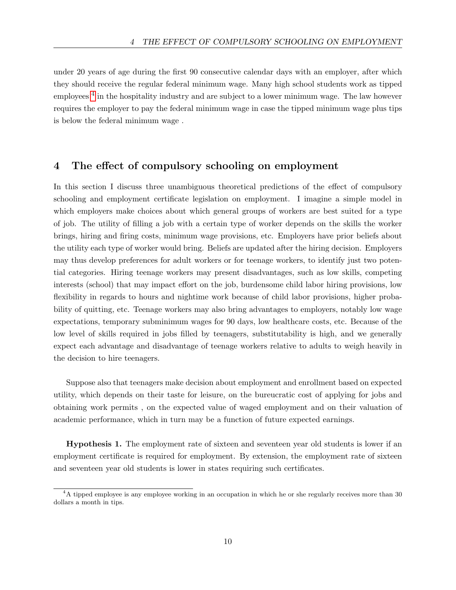under 20 years of age during the first 90 consecutive calendar days with an employer, after which they should receive the regular federal minimum wage. Many high school students work as tipped employees<sup>[4](#page-0-0)</sup> in the hospitality industry and are subject to a lower minimum wage. The law however requires the employer to pay the federal minimum wage in case the tipped minimum wage plus tips is below the federal minimum wage .

## 4 The effect of compulsory schooling on employment

In this section I discuss three unambiguous theoretical predictions of the effect of compulsory schooling and employment certificate legislation on employment. I imagine a simple model in which employers make choices about which general groups of workers are best suited for a type of job. The utility of filling a job with a certain type of worker depends on the skills the worker brings, hiring and firing costs, minimum wage provisions, etc. Employers have prior beliefs about the utility each type of worker would bring. Beliefs are updated after the hiring decision. Employers may thus develop preferences for adult workers or for teenage workers, to identify just two potential categories. Hiring teenage workers may present disadvantages, such as low skills, competing interests (school) that may impact effort on the job, burdensome child labor hiring provisions, low flexibility in regards to hours and nightime work because of child labor provisions, higher probability of quitting, etc. Teenage workers may also bring advantages to employers, notably low wage expectations, temporary subminimum wages for 90 days, low healthcare costs, etc. Because of the low level of skills required in jobs filled by teenagers, substitutability is high, and we generally expect each advantage and disadvantage of teenage workers relative to adults to weigh heavily in the decision to hire teenagers.

Suppose also that teenagers make decision about employment and enrollment based on expected utility, which depends on their taste for leisure, on the bureucratic cost of applying for jobs and obtaining work permits , on the expected value of waged employment and on their valuation of academic performance, which in turn may be a function of future expected earnings.

Hypothesis 1. The employment rate of sixteen and seventeen year old students is lower if an employment certificate is required for employment. By extension, the employment rate of sixteen and seventeen year old students is lower in states requiring such certificates.

<sup>&</sup>lt;sup>4</sup>A tipped employee is any employee working in an occupation in which he or she regularly receives more than 30 dollars a month in tips.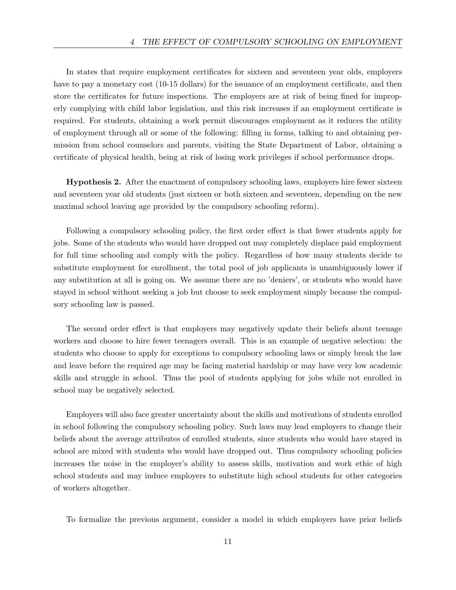In states that require employment certificates for sixteen and seventeen year olds, employers have to pay a monetary cost (10-15 dollars) for the issuance of an employment certificate, and then store the certificates for future inspections. The employers are at risk of being fined for improperly complying with child labor legislation, and this risk increases if an employment certificate is required. For students, obtaining a work permit discourages employment as it reduces the utility of employment through all or some of the following: filling in forms, talking to and obtaining permission from school counselors and parents, visiting the State Department of Labor, obtaining a certificate of physical health, being at risk of losing work privileges if school performance drops.

Hypothesis 2. After the enactment of compulsory schooling laws, employers hire fewer sixteen and seventeen year old students (just sixteen or both sixteen and seventeen, depending on the new maximal school leaving age provided by the compulsory schooling reform).

Following a compulsory schooling policy, the first order effect is that fewer students apply for jobs. Some of the students who would have dropped out may completely displace paid employment for full time schooling and comply with the policy. Regardless of how many students decide to substitute employment for enrollment, the total pool of job applicants is unambiguously lower if any substitution at all is going on. We assume there are no 'deniers', or students who would have stayed in school without seeking a job but choose to seek employment simply because the compulsory schooling law is passed.

The second order effect is that employers may negatively update their beliefs about teenage workers and choose to hire fewer teenagers overall. This is an example of negative selection: the students who choose to apply for exceptions to compulsory schooling laws or simply break the law and leave before the required age may be facing material hardship or may have very low academic skills and struggle in school. Thus the pool of students applying for jobs while not enrolled in school may be negatively selected.

Employers will also face greater uncertainty about the skills and motivations of students enrolled in school following the compulsory schooling policy. Such laws may lead employers to change their beliefs about the average attributes of enrolled students, since students who would have stayed in school are mixed with students who would have dropped out. Thus compulsory schooling policies increases the noise in the employer's ability to assess skills, motivation and work ethic of high school students and may induce employers to substitute high school students for other categories of workers altogether.

To formalize the previous argument, consider a model in which employers have prior beliefs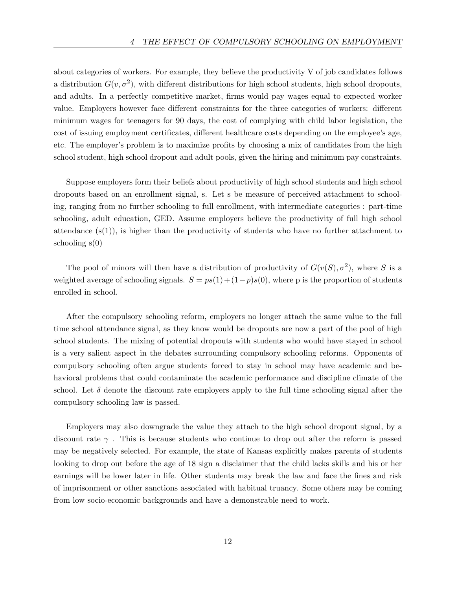about categories of workers. For example, they believe the productivity V of job candidates follows a distribution  $G(v, \sigma^2)$ , with different distributions for high school students, high school dropouts, and adults. In a perfectly competitive market, firms would pay wages equal to expected worker value. Employers however face different constraints for the three categories of workers: different minimum wages for teenagers for 90 days, the cost of complying with child labor legislation, the cost of issuing employment certificates, different healthcare costs depending on the employee's age, etc. The employer's problem is to maximize profits by choosing a mix of candidates from the high school student, high school dropout and adult pools, given the hiring and minimum pay constraints.

Suppose employers form their beliefs about productivity of high school students and high school dropouts based on an enrollment signal, s. Let s be measure of perceived attachment to schooling, ranging from no further schooling to full enrollment, with intermediate categories : part-time schooling, adult education, GED. Assume employers believe the productivity of full high school attendance  $(s(1))$ , is higher than the productivity of students who have no further attachment to schooling  $s(0)$ 

The pool of minors will then have a distribution of productivity of  $G(v(S), \sigma^2)$ , where S is a weighted average of schooling signals.  $S = ps(1) + (1-p)s(0)$ , where p is the proportion of students enrolled in school.

After the compulsory schooling reform, employers no longer attach the same value to the full time school attendance signal, as they know would be dropouts are now a part of the pool of high school students. The mixing of potential dropouts with students who would have stayed in school is a very salient aspect in the debates surrounding compulsory schooling reforms. Opponents of compulsory schooling often argue students forced to stay in school may have academic and behavioral problems that could contaminate the academic performance and discipline climate of the school. Let  $\delta$  denote the discount rate employers apply to the full time schooling signal after the compulsory schooling law is passed.

Employers may also downgrade the value they attach to the high school dropout signal, by a discount rate  $\gamma$ . This is because students who continue to drop out after the reform is passed may be negatively selected. For example, the state of Kansas explicitly makes parents of students looking to drop out before the age of 18 sign a disclaimer that the child lacks skills and his or her earnings will be lower later in life. Other students may break the law and face the fines and risk of imprisonment or other sanctions associated with habitual truancy. Some others may be coming from low socio-economic backgrounds and have a demonstrable need to work.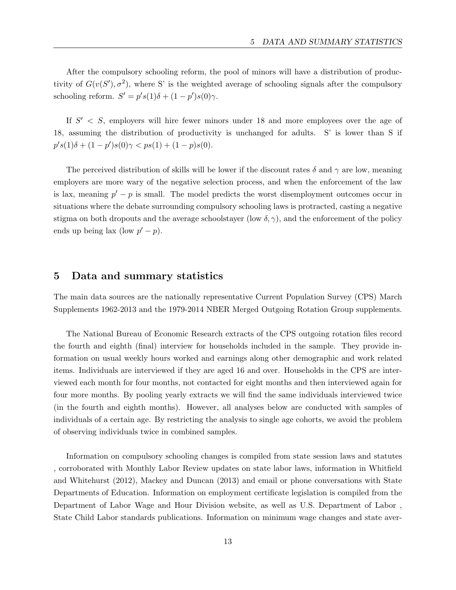After the compulsory schooling reform, the pool of minors will have a distribution of productivity of  $G(v(S'), \sigma^2)$ , where S' is the weighted average of schooling signals after the compulsory schooling reform.  $S' = p's(1)\delta + (1 - p')s(0)\gamma$ .

If  $S' < S$ , employers will hire fewer minors under 18 and more employees over the age of 18, assuming the distribution of productivity is unchanged for adults. S' is lower than S if  $p's(1)\delta + (1-p')s(0)\gamma < ps(1) + (1-p)s(0).$ 

The perceived distribution of skills will be lower if the discount rates  $\delta$  and  $\gamma$  are low, meaning employers are more wary of the negative selection process, and when the enforcement of the law is lax, meaning  $p' - p$  is small. The model predicts the worst disemployment outcomes occur in situations where the debate surrounding compulsory schooling laws is protracted, casting a negative stigma on both dropouts and the average schoolstayer (low  $\delta$ ,  $\gamma$ ), and the enforcement of the policy ends up being lax (low  $p'-p$ ).

### 5 Data and summary statistics

The main data sources are the nationally representative Current Population Survey (CPS) March Supplements 1962-2013 and the 1979-2014 NBER Merged Outgoing Rotation Group supplements.

The National Bureau of Economic Research extracts of the CPS outgoing rotation files record the fourth and eighth (final) interview for households included in the sample. They provide information on usual weekly hours worked and earnings along other demographic and work related items. Individuals are interviewed if they are aged 16 and over. Households in the CPS are interviewed each month for four months, not contacted for eight months and then interviewed again for four more months. By pooling yearly extracts we will find the same individuals interviewed twice (in the fourth and eighth months). However, all analyses below are conducted with samples of individuals of a certain age. By restricting the analysis to single age cohorts, we avoid the problem of observing individuals twice in combined samples.

Information on compulsory schooling changes is compiled from state session laws and statutes , corroborated with Monthly Labor Review updates on state labor laws, information in Whitfield and Whitehurst (2012), Mackey and Duncan (2013) and email or phone conversations with State Departments of Education. Information on employment certificate legislation is compiled from the Department of Labor Wage and Hour Division website, as well as U.S. Department of Labor , State Child Labor standards publications. Information on minimum wage changes and state aver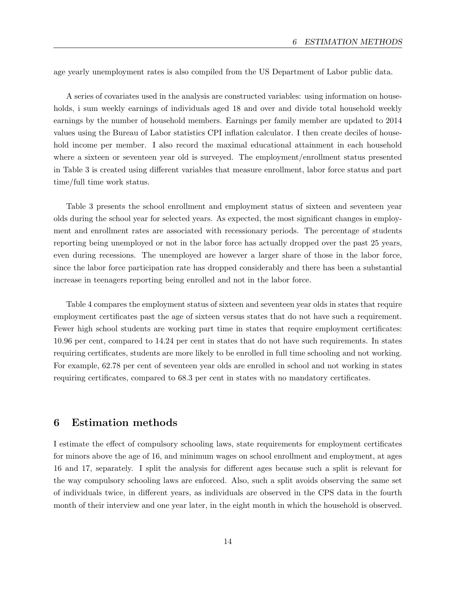age yearly unemployment rates is also compiled from the US Department of Labor public data.

A series of covariates used in the analysis are constructed variables: using information on households, i sum weekly earnings of individuals aged 18 and over and divide total household weekly earnings by the number of household members. Earnings per family member are updated to 2014 values using the Bureau of Labor statistics CPI inflation calculator. I then create deciles of household income per member. I also record the maximal educational attainment in each household where a sixteen or seventeen year old is surveyed. The employment/enrollment status presented in Table 3 is created using different variables that measure enrollment, labor force status and part time/full time work status.

Table 3 presents the school enrollment and employment status of sixteen and seventeen year olds during the school year for selected years. As expected, the most significant changes in employment and enrollment rates are associated with recessionary periods. The percentage of students reporting being unemployed or not in the labor force has actually dropped over the past 25 years, even during recessions. The unemployed are however a larger share of those in the labor force, since the labor force participation rate has dropped considerably and there has been a substantial increase in teenagers reporting being enrolled and not in the labor force.

Table 4 compares the employment status of sixteen and seventeen year olds in states that require employment certificates past the age of sixteen versus states that do not have such a requirement. Fewer high school students are working part time in states that require employment certificates: 10.96 per cent, compared to 14.24 per cent in states that do not have such requirements. In states requiring certificates, students are more likely to be enrolled in full time schooling and not working. For example, 62.78 per cent of seventeen year olds are enrolled in school and not working in states requiring certificates, compared to 68.3 per cent in states with no mandatory certificates.

## 6 Estimation methods

I estimate the effect of compulsory schooling laws, state requirements for employment certificates for minors above the age of 16, and minimum wages on school enrollment and employment, at ages 16 and 17, separately. I split the analysis for different ages because such a split is relevant for the way compulsory schooling laws are enforced. Also, such a split avoids observing the same set of individuals twice, in different years, as individuals are observed in the CPS data in the fourth month of their interview and one year later, in the eight month in which the household is observed.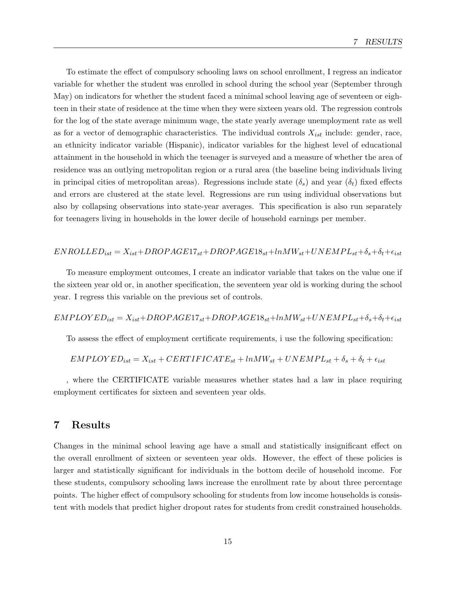To estimate the effect of compulsory schooling laws on school enrollment, I regress an indicator variable for whether the student was enrolled in school during the school year (September through May) on indicators for whether the student faced a minimal school leaving age of seventeen or eighteen in their state of residence at the time when they were sixteen years old. The regression controls for the log of the state average minimum wage, the state yearly average unemployment rate as well as for a vector of demographic characteristics. The individual controls  $X_{ist}$  include: gender, race, an ethnicity indicator variable (Hispanic), indicator variables for the highest level of educational attainment in the household in which the teenager is surveyed and a measure of whether the area of residence was an outlying metropolitan region or a rural area (the baseline being individuals living in principal cities of metropolitan areas). Regressions include state  $(\delta_s)$  and year  $(\delta_t)$  fixed effects and errors are clustered at the state level. Regressions are run using individual observations but also by collapsing observations into state-year averages. This specification is also run separately for teenagers living in households in the lower decile of household earnings per member.

#### $ENROLLED_{ist} = X_{ist} + DROPAGE17_{st} + DROPAGE18_{st} + lnMW_{st} + UNEMPL_{st} + \delta_s + \delta_t + \epsilon_{ist}$

To measure employment outcomes, I create an indicator variable that takes on the value one if the sixteen year old or, in another specification, the seventeen year old is working during the school year. I regress this variable on the previous set of controls.

 $EMPLOYED_{ist} = X_{ist}+DROPAGE17_{st}+DROPAGE18_{st}+lnMW_{st}+UNEMPL_{st}+\delta_{s}+\delta_{t}+\epsilon_{ist}$ 

To assess the effect of employment certificate requirements, i use the following specification:

$$
EMPLOYED_{ist} = X_{ist} + CERTIFICATE_{st} + lnMW_{st} + UNEMPL_{st} + \delta_s + \delta_t + \epsilon_{ist}
$$

, where the CERTIFICATE variable measures whether states had a law in place requiring employment certificates for sixteen and seventeen year olds.

### 7 Results

Changes in the minimal school leaving age have a small and statistically insignificant effect on the overall enrollment of sixteen or seventeen year olds. However, the effect of these policies is larger and statistically significant for individuals in the bottom decile of household income. For these students, compulsory schooling laws increase the enrollment rate by about three percentage points. The higher effect of compulsory schooling for students from low income households is consistent with models that predict higher dropout rates for students from credit constrained households.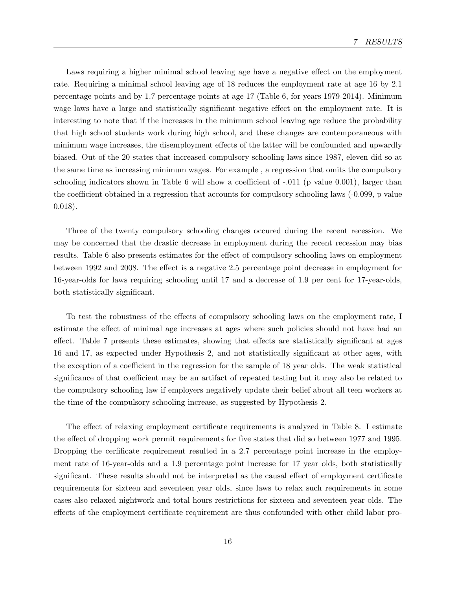Laws requiring a higher minimal school leaving age have a negative effect on the employment rate. Requiring a minimal school leaving age of 18 reduces the employment rate at age 16 by 2.1 percentage points and by 1.7 percentage points at age 17 (Table 6, for years 1979-2014). Minimum wage laws have a large and statistically significant negative effect on the employment rate. It is interesting to note that if the increases in the minimum school leaving age reduce the probability that high school students work during high school, and these changes are contemporaneous with minimum wage increases, the disemployment effects of the latter will be confounded and upwardly biased. Out of the 20 states that increased compulsory schooling laws since 1987, eleven did so at the same time as increasing minimum wages. For example , a regression that omits the compulsory schooling indicators shown in Table 6 will show a coefficient of -.011 (p value 0.001), larger than the coefficient obtained in a regression that accounts for compulsory schooling laws (-0.099, p value 0.018).

Three of the twenty compulsory schooling changes occured during the recent recession. We may be concerned that the drastic decrease in employment during the recent recession may bias results. Table 6 also presents estimates for the effect of compulsory schooling laws on employment between 1992 and 2008. The effect is a negative 2.5 percentage point decrease in employment for 16-year-olds for laws requiring schooling until 17 and a decrease of 1.9 per cent for 17-year-olds, both statistically significant.

To test the robustness of the effects of compulsory schooling laws on the employment rate, I estimate the effect of minimal age increases at ages where such policies should not have had an effect. Table 7 presents these estimates, showing that effects are statistically significant at ages 16 and 17, as expected under Hypothesis 2, and not statistically significant at other ages, with the exception of a coefficient in the regression for the sample of 18 year olds. The weak statistical significance of that coefficient may be an artifact of repeated testing but it may also be related to the compulsory schooling law if employers negatively update their belief about all teen workers at the time of the compulsory schooling increase, as suggested by Hypothesis 2.

The effect of relaxing employment certificate requirements is analyzed in Table 8. I estimate the effect of dropping work permit requirements for five states that did so between 1977 and 1995. Dropping the cerfificate requirement resulted in a 2.7 percentage point increase in the employment rate of 16-year-olds and a 1.9 percentage point increase for 17 year olds, both statistically significant. These results should not be interpreted as the causal effect of employment certificate requirements for sixteen and seventeen year olds, since laws to relax such requirements in some cases also relaxed nightwork and total hours restrictions for sixteen and seventeen year olds. The effects of the employment certificate requirement are thus confounded with other child labor pro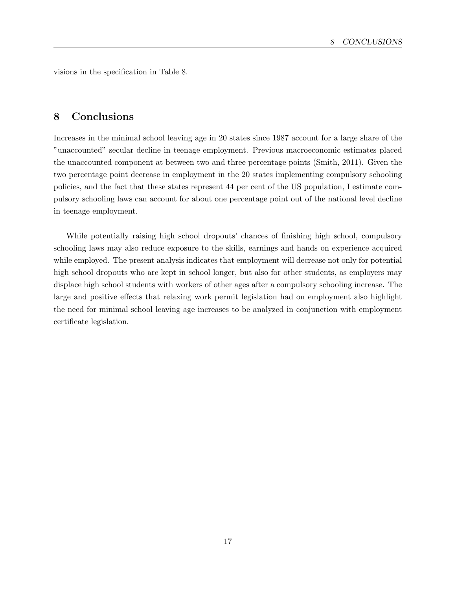visions in the specification in Table 8.

## 8 Conclusions

Increases in the minimal school leaving age in 20 states since 1987 account for a large share of the "unaccounted" secular decline in teenage employment. Previous macroeconomic estimates placed the unaccounted component at between two and three percentage points (Smith, 2011). Given the two percentage point decrease in employment in the 20 states implementing compulsory schooling policies, and the fact that these states represent 44 per cent of the US population, I estimate compulsory schooling laws can account for about one percentage point out of the national level decline in teenage employment.

While potentially raising high school dropouts' chances of finishing high school, compulsory schooling laws may also reduce exposure to the skills, earnings and hands on experience acquired while employed. The present analysis indicates that employment will decrease not only for potential high school dropouts who are kept in school longer, but also for other students, as employers may displace high school students with workers of other ages after a compulsory schooling increase. The large and positive effects that relaxing work permit legislation had on employment also highlight the need for minimal school leaving age increases to be analyzed in conjunction with employment certificate legislation.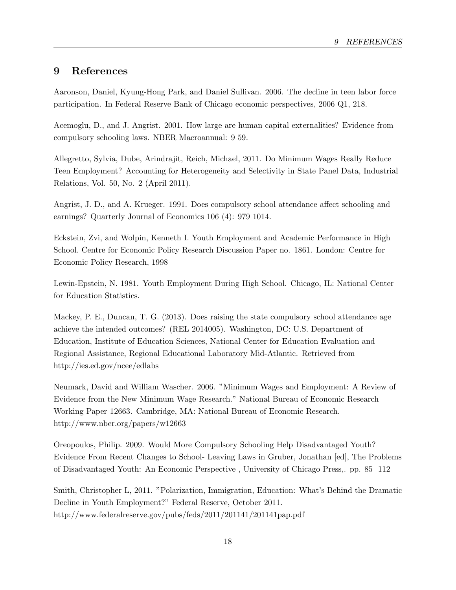# 9 References

Aaronson, Daniel, Kyung-Hong Park, and Daniel Sullivan. 2006. The decline in teen labor force participation. In Federal Reserve Bank of Chicago economic perspectives, 2006 Q1, 218.

Acemoglu, D., and J. Angrist. 2001. How large are human capital externalities? Evidence from compulsory schooling laws. NBER Macroannual: 9 59.

Allegretto, Sylvia, Dube, Arindrajit, Reich, Michael, 2011. Do Minimum Wages Really Reduce Teen Employment? Accounting for Heterogeneity and Selectivity in State Panel Data, Industrial Relations, Vol. 50, No. 2 (April 2011).

Angrist, J. D., and A. Krueger. 1991. Does compulsory school attendance affect schooling and earnings? Quarterly Journal of Economics 106 (4): 979 1014.

Eckstein, Zvi, and Wolpin, Kenneth I. Youth Employment and Academic Performance in High School. Centre for Economic Policy Research Discussion Paper no. 1861. London: Centre for Economic Policy Research, 1998

Lewin-Epstein, N. 1981. Youth Employment During High School. Chicago, IL: National Center for Education Statistics.

Mackey, P. E., Duncan, T. G. (2013). Does raising the state compulsory school attendance age achieve the intended outcomes? (REL 2014005). Washington, DC: U.S. Department of Education, Institute of Education Sciences, National Center for Education Evaluation and Regional Assistance, Regional Educational Laboratory Mid-Atlantic. Retrieved from http://ies.ed.gov/ncee/edlabs

Neumark, David and William Wascher. 2006. "Minimum Wages and Employment: A Review of Evidence from the New Minimum Wage Research." National Bureau of Economic Research Working Paper 12663. Cambridge, MA: National Bureau of Economic Research. http://www.nber.org/papers/w12663

Oreopoulos, Philip. 2009. Would More Compulsory Schooling Help Disadvantaged Youth? Evidence From Recent Changes to School- Leaving Laws in Gruber, Jonathan [ed], The Problems of Disadvantaged Youth: An Economic Perspective , University of Chicago Press,. pp. 85 112

Smith, Christopher L, 2011. "Polarization, Immigration, Education: What's Behind the Dramatic Decline in Youth Employment?" Federal Reserve, October 2011. http://www.federalreserve.gov/pubs/feds/2011/201141/201141pap.pdf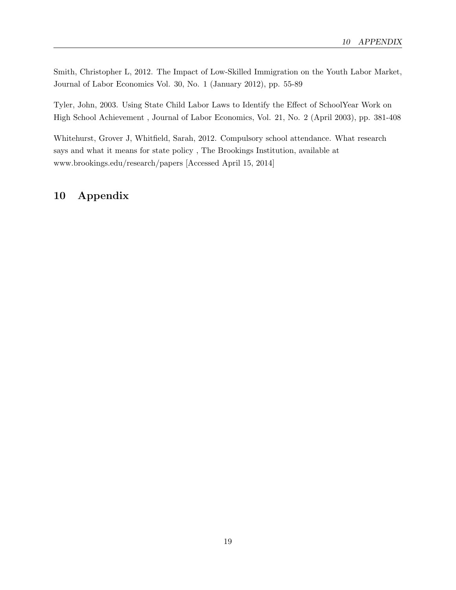Smith, Christopher L, 2012. The Impact of Low-Skilled Immigration on the Youth Labor Market, Journal of Labor Economics Vol. 30, No. 1 (January 2012), pp. 55-89

Tyler, John, 2003. Using State Child Labor Laws to Identify the Effect of SchoolYear Work on High School Achievement , Journal of Labor Economics, Vol. 21, No. 2 (April 2003), pp. 381-408

Whitehurst, Grover J, Whitfield, Sarah, 2012. Compulsory school attendance. What research says and what it means for state policy , The Brookings Institution, available at www.brookings.edu/research/papers [Accessed April 15, 2014]

# 10 Appendix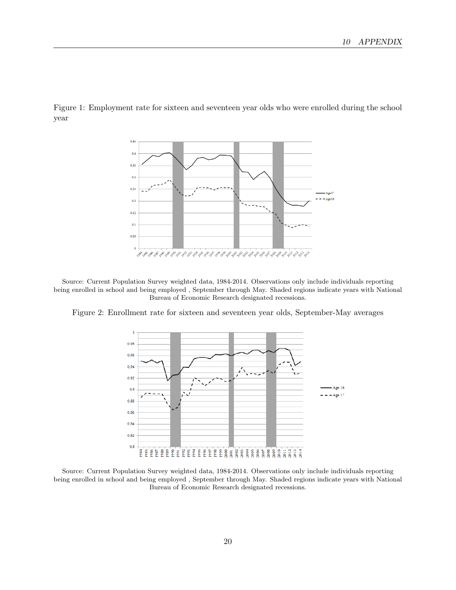

Figure 1: Employment rate for sixteen and seventeen year olds who were enrolled during the school year

Source: Current Population Survey weighted data, 1984-2014. Observations only include individuals reporting being enrolled in school and being employed , September through May. Shaded regions indicate years with National Bureau of Economic Research designated recessions.

Figure 2: Enrollment rate for sixteen and seventeen year olds, September-May averages



Source: Current Population Survey weighted data, 1984-2014. Observations only include individuals reporting being enrolled in school and being employed , September through May. Shaded regions indicate years with National Bureau of Economic Research designated recessions.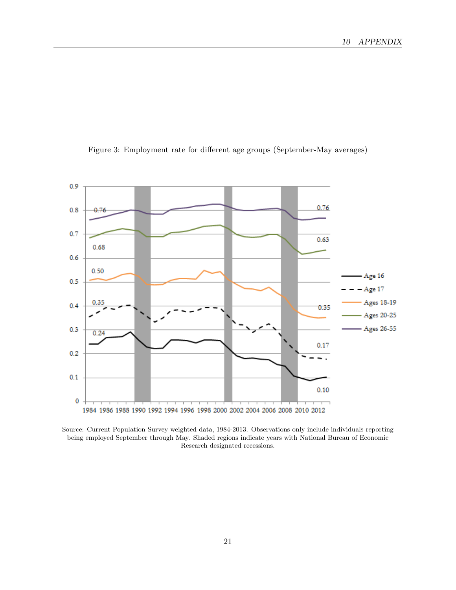

Figure 3: Employment rate for different age groups (September-May averages)

Source: Current Population Survey weighted data, 1984-2013. Observations only include individuals reporting being employed September through May. Shaded regions indicate years with National Bureau of Economic Research designated recessions.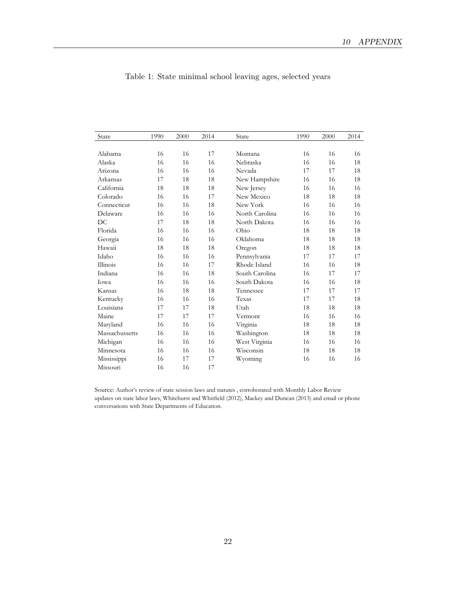| State          | 1990 | 2000 | 2014 | State          | 1990 | 2000 | 2014 |
|----------------|------|------|------|----------------|------|------|------|
|                |      |      |      |                |      |      |      |
| Alabama        | 16   | 16   | 17   | Montana        | 16   | 16   | 16   |
| Alaska         | 16   | 16   | 16   | Nebraska       | 16   | 16   | 18   |
| Arizona        | 16   | 16   | 16   | Nevada         | 17   | 17   | 18   |
| Arkansas       | 17   | 18   | 18   | New Hampshire  | 16   | 16   | 18   |
| California     | 18   | 18   | 18   | New Jersey     | 16   | 16   | 16   |
| Colorado       | 16   | 16   | 17   | New Mexico     | 18   | 18   | 18   |
| Connecticut    | 16   | 16   | 18   | New York       | 16   | 16   | 16   |
| Delaware       | 16   | 16   | 16   | North Carolina | 16   | 16   | 16   |
| DC             | 17   | 18   | 18   | North Dakota   | 16   | 16   | 16   |
| Florida        | 16   | 16   | 16   | Ohio           | 18   | 18   | 18   |
| Georgia        | 16   | 16   | 16   | Oklahoma       | 18   | 18   | 18   |
| Hawaii         | 18   | 18   | 18   | Oregon         | 18   | 18   | 18   |
| Idaho          | 16   | 16   | 16   | Pennsylvania   | 17   | 17   | 17   |
| Illinois       | 16   | 16   | 17   | Rhode Island   | 16   | 16   | 18   |
| Indiana        | 16   | 16   | 18   | South Carolina | 16   | 17   | 17   |
| Iowa           | 16   | 16   | 16   | South Dakota   | 16   | 16   | 18   |
| Kansas         | 16   | 18   | 18   | Tennessee      | 17   | 17   | 17   |
| Kentucky       | 16   | 16   | 16   | Texas          | 17   | 17   | 18   |
| Louisiana      | 17   | 17   | 18   | Utah           | 18   | 18   | 18   |
| Maine          | 17   | 17   | 17   | Vermont        | 16   | 16   | 16   |
| Maryland       | 16   | 16   | 16   | Virginia       | 18   | 18   | 18   |
| Massachussetts | 16   | 16   | 16   | Washington     | 18   | 18   | 18   |
| Michigan       | 16   | 16   | 16   | West Virginia  | 16   | 16   | 16   |
| Minnesota      | 16   | 16   | 16   | Wisconsin      | 18   | 18   | 18   |
| Mississippi    | 16   | 17   | 17   | Wyoming        | 16   | 16   | 16   |
| Missouri       | 16   | 16   | 17   |                |      |      |      |

|  | Table 1: State minimal school leaving ages, selected years |  |  |  |
|--|------------------------------------------------------------|--|--|--|
|  |                                                            |  |  |  |

Source: Author's review of state session laws and statutes , corroborated with Monthly Labor Review updates on state labor laws, Whitehurst and Whitfield (2012), Mackey and Duncan (2013) and email or phone conversations with State Departments of Education.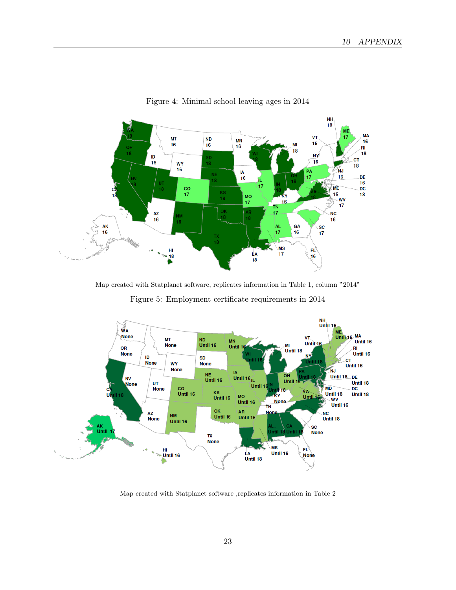

Figure 4: Minimal school leaving ages in 2014

Map created with Statplanet software, replicates information in Table 1, column "2014"

Figure 5: Employment certificate requirements in 2014



Map created with Statplanet software ,replicates information in Table 2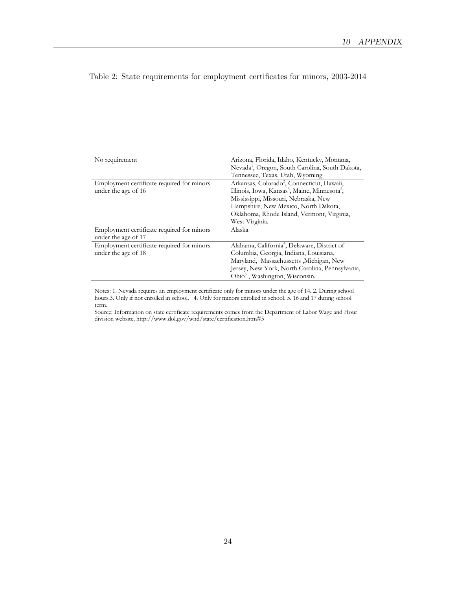| No requirement                             | Arizona, Florida, Idaho, Kentucky, Montana,                           |
|--------------------------------------------|-----------------------------------------------------------------------|
|                                            | Nevada <sup>1</sup> , Oregon, South Carolina, South Dakota,           |
|                                            | Tennessee, Texas, Utah, Wyoming                                       |
| Employment certificate required for minors | Arkansas, Colorado <sup>2</sup> , Connecticut, Hawaii,                |
| under the age of 16                        | Illinois, Iowa, Kansas <sup>3</sup> , Maine, Minnesota <sup>2</sup> , |
|                                            | Mississippi, Missouri, Nebraska, New                                  |
|                                            | Hampshire, New Mexico, North Dakota,                                  |
|                                            | Oklahoma, Rhode Island, Vermont, Virginia,                            |
|                                            | West Virginia.                                                        |
| Employment certificate required for minors | Alaska                                                                |
| under the age of 17                        |                                                                       |
| Employment certificate required for minors | Alabama, California <sup>4</sup> , Delaware, District of              |
| under the age of 18                        | Columbia, Georgia, Indiana, Louisiana,                                |
|                                            | Maryland, Massachussetts , Michigan, New                              |
|                                            | Jersey, New York, North Carolina, Pennsylvania,                       |
|                                            | Ohio <sup>5</sup> , Washington, Wisconsin.                            |

Table 2: State requirements for employment certificates for minors, 2003-2014

Notes: 1. Nevada requires an employment certificate only for minors under the age of 14. 2. During school hours.3. Only if not enrolled in school. 4. Only for minors enrolled in school. 5. 16 and 17 during school term.

Source: Information on state certificate requirements comes from the Department of Labor Wage and Hour division website, http://www.dol.gov/whd/state/certification.htm#5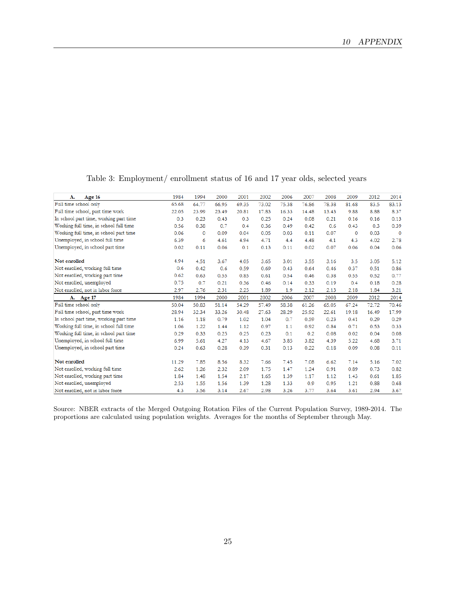| Age 16<br>А.                           | 1984  | 1994         | 2000  | 2001  | 2002  | 2006  | 2007  | 2008  | 2009         | 2012  | 2014     |
|----------------------------------------|-------|--------------|-------|-------|-------|-------|-------|-------|--------------|-------|----------|
| Full time school only                  | 65.68 | 64.77        | 66.95 | 69.35 | 73.02 | 75.38 | 76.86 | 78.38 | 81.68        | 83.5  | 83.13    |
| Full time school, part time work       | 22.05 | 23.99        | 23.49 | 20.81 | 17.83 | 16.33 | 14.48 | 13.43 | 9.88         | 8.88  | 8.37     |
| In school part time, working part time | 0.3   | 0.23         | 0.43  | 0.3   | 0.25  | 0.24  | 0.08  | 0.21  | 0.16         | 0.16  | 0.13     |
| Working full time, in school full time | 0.56  | 0.38         | 0.7   | 0.4   | 0.36  | 0.49  | 0.42  | 0.6   | 0.43         | 0.3   | 0.39     |
| Working full time, in school part time | 0.06  | $\mathbf{0}$ | 0.09  | 0.04  | 0.05  | 0.03  | 0.11  | 0.07  | $\mathbf{O}$ | 0.03  | $\Omega$ |
| Unemployed, in school full time        | 6.39  | 6            | 4.61  | 4.94  | 4.71  | 4.4   | 4.48  | 4.1   | 4.3          | 4.02  | 2.78     |
| Unemployed, in school part time        | 0.02  | 0.11         | 0.06  | 0.1   | 0.13  | 0.11  | 0.02  | 0.07  | 0.06         | 0.04  | 0.06     |
| Not enrolled                           | 4.94  | 4.51         | 3.67  | 4.05  | 3.65  | 3.01  | 3.55  | 3.16  | 3.5          | 3.05  | 5.12     |
| Not enrolled, working full time        | 0.6   | 0.42         | 0.6   | 0.59  | 0.69  | 0.43  | 0.64  | 0.46  | 0.37         | 0.51  | 0.86     |
| Not enrolled, working part time        | 0.62  | 0.63         | 0.55  | 0.85  | 0.61  | 0.54  | 0.46  | 0.38  | 0.55         | 0.52  | 0.77     |
| Not enrolled, unemployed               | 0.75  | 0.7          | 0.21  | 0.36  | 0.46  | 0.14  | 0.33  | 0.19  | 0.4          | 0.18  | 0.28     |
| Not enrolled, not in labor force       | 2.97  | 2.76         | 2.31  | 2.25  | 1.89  | 1.9   | 2.12  | 2.13  | 2.18         | 1.84  | 3.21     |
| A. Age 17                              | 1984  | 1994         | 2000  | 2001  | 2002  | 2006  | 2007  | 2008  | 2009         | 2012  | 2014     |
| Full time school only                  | 50.04 | 50.83        | 51.14 | 54.29 | 57.49 | 58.38 | 61.26 | 65.05 | 67.24        | 72.72 | 70.46    |
| Full time school, part time work       | 28.94 | 32.34        | 33.26 | 30.48 | 27.63 | 28.29 | 25.92 | 22.61 | 19.18        | 16.49 | 17.99    |
| In school part time, working part time | 1.16  | 1.18         | 0.79  | 1.02  | 1.04  | 0.7   | 0.59  | 0.23  | 0.41         | 0.29  | 0.29     |
| Working full time, in school full time | 1.06  | 1.22         | 1.44  | 1.12  | 0.97  | 1.1   | 0.92  | 0.84  | 0.71         | 0.53  | 0.33     |
| Working full time, in school part time | 0.29  | 0.33         | 0.25  | 0.25  | 0.23  | 0.1   | 0.2   | 0.08  | 0.02         | 0.04  | 0.08     |
| Unemployed, in school full time        | 6.99  | 5.61         | 4.27  | 4.13  | 4.67  | 3.85  | 3.82  | 4.39  | 5.22         | 4.68  | 3.71     |
| Unemployed, in school part time        | 0.24  | 0.63         | 0.28  | 0.39  | 0.31  | 0.13  | 0.22  | 0.18  | 0.09         | 0.08  | 0.11     |
| Not enrolled                           | 11.29 | 7.85         | 8.56  | 8.32  | 7.66  | 7.45  | 7.08  | 6.62  | 7.14         | 5.16  | 7.02     |
| Not enrolled, working full time        | 2.62  | 1.26         | 2.32  | 2.09  | 1.75  | 1.47  | 1.24  | 0.91  | 0.89         | 0.73  | 0.82     |
| Not enrolled, working part time        | 1.84  | 1.48         | 1.54  | 2.17  | 1.65  | 1.39  | 1.17  | 1.12  | 1.43         | 0.61  | 1.85     |
| Not enrolled, unemployed               | 2.53  | 1.55         | 1.56  | 1.39  | 1.28  | 1.33  | 0.9   | 0.95  | 1.21         | 0.88  | 0.68     |
| Not enrolled, not in labor force       | 4.3   | 3.56         | 3.14  | 2.67  | 2.98  | 3.26  | 3.77  | 3.64  | 3.61         | 2.94  | 3.67     |

Table 3: Employment/ enrollment status of 16 and 17 year olds, selected years

Source: NBER extracts of the Merged Outgoing Rotation Files of the Current Population Survey, 1989-2014. The proportions are calculated using population weights. Averages for the months of September through May.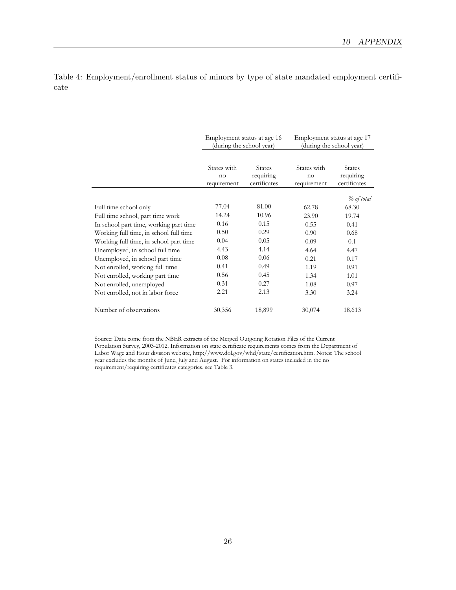|                                        | Employment status at age 16      | (during the school year)                   | Employment status at age 17<br>(during the school year) |                                            |  |
|----------------------------------------|----------------------------------|--------------------------------------------|---------------------------------------------------------|--------------------------------------------|--|
|                                        | States with<br>no<br>requirement | <b>States</b><br>requiring<br>certificates | States with<br>no<br>requirement                        | <b>States</b><br>requiring<br>certificates |  |
|                                        |                                  |                                            |                                                         | $\%$ of total                              |  |
| Full time school only                  | 77.04                            | 81.00                                      | 62.78                                                   | 68.30                                      |  |
| Full time school, part time work       | 14.24                            | 10.96                                      | 23.90                                                   | 19.74                                      |  |
| In school part time, working part time | 0.16                             | 0.15                                       | 0.55                                                    | 0.41                                       |  |
| Working full time, in school full time | 0.50                             | 0.29                                       | 0.90                                                    | 0.68                                       |  |
| Working full time, in school part time | 0.04                             | 0.05                                       | 0.09                                                    | 0.1                                        |  |
| Unemployed, in school full time        | 4.43                             | 4.14                                       | 4.64                                                    | 4.47                                       |  |
| Unemployed, in school part time        | 0.08                             | 0.06                                       | 0.21                                                    | 0.17                                       |  |
| Not enrolled, working full time        | 0.41                             | 0.49                                       | 1.19                                                    | 0.91                                       |  |
| Not enrolled, working part time        | 0.56                             | 0.45                                       | 1.34                                                    | 1.01                                       |  |
| Not enrolled, unemployed               | 0.31                             | 0.27                                       | 1.08                                                    | 0.97                                       |  |
| Not enrolled, not in labor force       | 2.21                             | 2.13                                       | 3.30                                                    | 3.24                                       |  |
| Number of observations                 | 30,356                           | 18,899                                     | 30,074                                                  | 18,613                                     |  |

Table 4: Employment/enrollment status of minors by type of state mandated employment certificate

> Source: Data come from the NBER extracts of the Merged Outgoing Rotation Files of the Current Population Survey, 2003-2012. Information on state certificate requirements comes from the Department of Labor Wage and Hour division website, http://www.dol.gov/whd/state/certification.htm. Notes: The school year excludes the months of June, July and August. For information on states included in the no requirement/requiring certificates categories, see Table 3.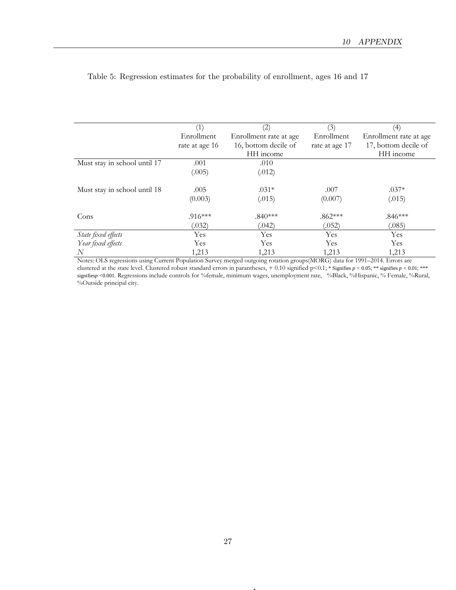|                              | (1)            | (2)                    | (3)            | (4)                    |
|------------------------------|----------------|------------------------|----------------|------------------------|
|                              | Enrollment     | Enrollment rate at age | Enrollment     | Enrollment rate at age |
|                              | rate at age 16 | 16, bottom decile of   | rate at age 17 | 17, bottom decile of   |
|                              |                | HH income              |                | HH income              |
| Must stay in school until 17 | .001           | .010                   |                |                        |
|                              | (.005)         | (.012)                 |                |                        |
| Must stay in school until 18 | .005           | $.031*$                | .007           | $.037*$                |
|                              | (0.003)        | (.015)                 | (0.007)        | (.015)                 |
| Cons                         | $.916***$      | $.840***$              | $.862***$      | $.846***$              |
|                              | (.032)         | (042)                  | (.052)         | (.085)                 |
| State fixed effects          | Yes            | Yes                    | Yes            | Yes                    |
| Year fixed effects           | Yes            | <b>Yes</b>             | Yes            | Yes                    |
| N                            | 1,213          | 1,213                  | 1,213          | 1,213                  |

#### Table 5: Regression estimates for the probability of enrollment, ages 16 and 17

Notes: OLS regressions using Current Population Survey merged outgoing rotation groups(MORG) data for 1991–2014. Errors are clustered at the state level. Clustered robust standard errors in parantheses, + 0.10 signified p<0.1; \* Signifies *p <* 0.05; \*\* signifies *p <* 0.01; \*\*\* signifies*p <*0.001. Regressions include controls for %female, minimum wages, unemployment rate, %Black, %Hispanic, % Female, %Rural, %Outside principal city.

1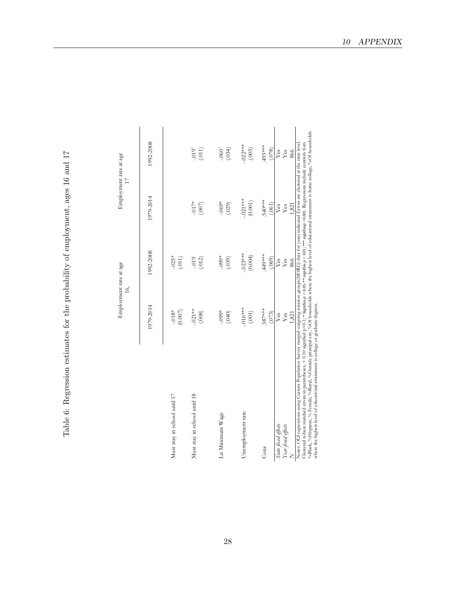Table 6: Regression estimates for the probability of employment, ages 16 and 17 Table 6: Regression estimates for the probability of employment, ages 16 and 17

|                                                                                                                                                                                                                                                                                                                                                                                                                                                                                                                                                                                                                    | Employment rate at age<br>16, |                              |                       | Employment rate at age<br>$\Box$        |
|--------------------------------------------------------------------------------------------------------------------------------------------------------------------------------------------------------------------------------------------------------------------------------------------------------------------------------------------------------------------------------------------------------------------------------------------------------------------------------------------------------------------------------------------------------------------------------------------------------------------|-------------------------------|------------------------------|-----------------------|-----------------------------------------|
|                                                                                                                                                                                                                                                                                                                                                                                                                                                                                                                                                                                                                    | 1979-2014                     | 1992-2008                    | 1979-2014             | 1992-2008                               |
| Must stay in school until 17                                                                                                                                                                                                                                                                                                                                                                                                                                                                                                                                                                                       | (0.007)<br>$-0.018*$          | $-.025*$<br>(011)            |                       |                                         |
| Must stay in school until 18                                                                                                                                                                                                                                                                                                                                                                                                                                                                                                                                                                                       | $-.021**$<br>(.008)           | $-019$<br>(012)              | $-017*$<br>(007)      | $-0.019$<br>(011)                       |
| Ln Minimum Wage                                                                                                                                                                                                                                                                                                                                                                                                                                                                                                                                                                                                    | $-0.099*$<br>(040)            | $-.099*$<br>(.039)           | $-0.069*$<br>(.029)   | $-.060+$<br>(.034)                      |
| Unemployment rate                                                                                                                                                                                                                                                                                                                                                                                                                                                                                                                                                                                                  | $-.016***$<br>(001)           | $-023***$<br>(0.004)         | $-.021***$<br>(0.001) | $-022***$<br>(.003)                     |
| Cons                                                                                                                                                                                                                                                                                                                                                                                                                                                                                                                                                                                                               | $.387***$<br>(073)            | ****<br>(.069)               | .540***<br>(.061)     | **** 493<br>(0.078)                     |
| Year fixed effects<br>State fixed effects                                                                                                                                                                                                                                                                                                                                                                                                                                                                                                                                                                          | Yes<br>Yes<br>1,821           | $\mathbf{Yes}$<br>866<br>Yes | 1,821<br>Yes<br>Yes   | $\mathbf{Yes}$<br>866<br>$\mathbf{Yes}$ |
| %Black, %Hispanic, % Female, %Rural, %Outside principal city, %Of households where the highest level of educational attainment is Some college, %Of households<br>Notes: OLS regressions using Current Population Survey merged outgoing rotation groups(MORG) data for years indicated Errors are clustered at the state level.<br>Clustered robust standard errors in parantheses, + 0.10 signified p<0.1; * Signifies $p < 0.05$ ; ** signifies $p < 0.01$ ; *** signifies $q > 0.001$ . Regressions include controls form<br>where the highest level of educational attainment is college or graduate degrees. |                               |                              |                       |                                         |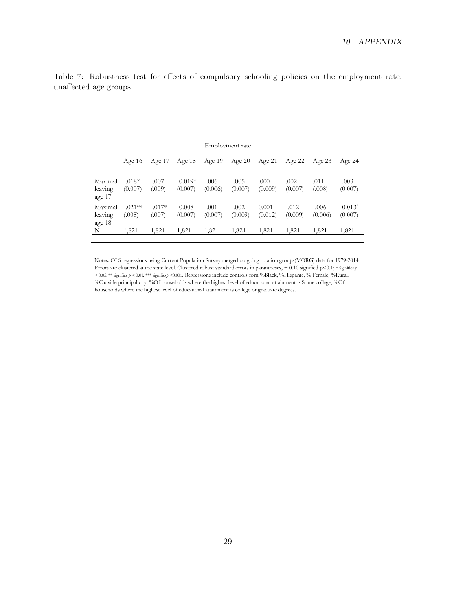|                                     |                     |                    |                      |                    | Employment rate    |                  |                    |                    |                                  |
|-------------------------------------|---------------------|--------------------|----------------------|--------------------|--------------------|------------------|--------------------|--------------------|----------------------------------|
|                                     | Age $16$            | Age $17$           | Age $18$             | Age $19$           | Age $20$           | Age $21$         | Age 22             | Age $23$           | Age $24$                         |
| Maximal<br>leaving<br>age 17        | $-.018*$<br>(0.007) | $-.007$<br>(.009)  | $-0.019*$<br>(0.007) | $-.006$<br>(0.006) | $-.005$<br>(0.007) | .000<br>(0.009)  | .002<br>(0.007)    | .011<br>(.008)     | $-.003$<br>(0.007)               |
| Maximal<br>leaving<br><u>age</u> 18 | $-.021**$<br>(.008) | $-.017*$<br>(.007) | $-0.008$<br>(0.007)  | $-.001$<br>(0.007) | $-.002$<br>(0.009) | 0.001<br>(0.012) | $-.012$<br>(0.009) | $-.006$<br>(0.006) | $-0.013$ <sup>+</sup><br>(0.007) |
| N                                   | 1,821               | 1,821              | 1,821                | 1,821              | 1,821              | 1,821            | 1,821              | 1,821              | 1,821                            |

Table 7: Robustness test for effects of compulsory schooling policies on the employment rate: unaffected age groups

> Notes: OLS regressions using Current Population Survey merged outgoing rotation groups(MORG) data for 1979-2014. Errors are clustered at the state level. Clustered robust standard errors in parantheses, + 0.10 signified p<0.1; \* Signifies  $p$ *<* 0.05; \*\* signifies *p <* 0.01; \*\*\* signifies*p <*0.001. Regressions include controls forn %Black, %Hispanic, % Female, %Rural, %Outside principal city, %Of households where the highest level of educational attainment is Some college, %Of households where the highest level of educational attainment is college or graduate degrees.